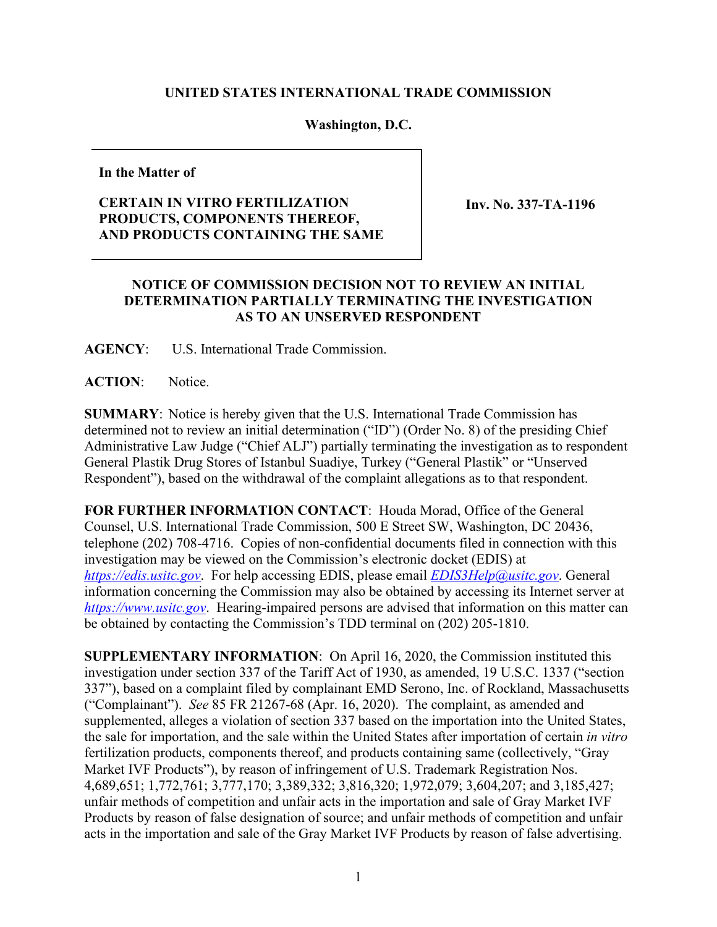## **UNITED STATES INTERNATIONAL TRADE COMMISSION**

## **Washington, D.C.**

**In the Matter of**

## **CERTAIN IN VITRO FERTILIZATION PRODUCTS, COMPONENTS THEREOF, AND PRODUCTS CONTAINING THE SAME**

**Inv. No. 337-TA-1196**

## **NOTICE OF COMMISSION DECISION NOT TO REVIEW AN INITIAL DETERMINATION PARTIALLY TERMINATING THE INVESTIGATION AS TO AN UNSERVED RESPONDENT**

**AGENCY**: U.S. International Trade Commission.

**ACTION**: Notice.

**SUMMARY**: Notice is hereby given that the U.S. International Trade Commission has determined not to review an initial determination ("ID") (Order No. 8) of the presiding Chief Administrative Law Judge ("Chief ALJ") partially terminating the investigation as to respondent General Plastik Drug Stores of Istanbul Suadiye, Turkey ("General Plastik" or "Unserved Respondent"), based on the withdrawal of the complaint allegations as to that respondent.

**FOR FURTHER INFORMATION CONTACT**: Houda Morad, Office of the General Counsel, U.S. International Trade Commission, 500 E Street SW, Washington, DC 20436, telephone (202) 708-4716. Copies of non-confidential documents filed in connection with this investigation may be viewed on the Commission's electronic docket (EDIS) at *[https://edis.usitc.gov](https://edis.usitc.gov/)*. For help accessing EDIS, please email *[EDIS3Help@usitc.gov](mailto:EDIS3Help@usitc.gov)*. General information concerning the Commission may also be obtained by accessing its Internet server at *[https://www.usitc.gov](https://www.usitc.gov/)*. Hearing-impaired persons are advised that information on this matter can be obtained by contacting the Commission's TDD terminal on (202) 205-1810.

**SUPPLEMENTARY INFORMATION**: On April 16, 2020, the Commission instituted this investigation under section 337 of the Tariff Act of 1930, as amended, 19 U.S.C. 1337 ("section 337"), based on a complaint filed by complainant EMD Serono, Inc. of Rockland, Massachusetts ("Complainant"). *See* 85 FR 21267-68 (Apr. 16, 2020). The complaint, as amended and supplemented, alleges a violation of section 337 based on the importation into the United States, the sale for importation, and the sale within the United States after importation of certain *in vitro* fertilization products, components thereof, and products containing same (collectively, "Gray Market IVF Products"), by reason of infringement of U.S. Trademark Registration Nos. 4,689,651; 1,772,761; 3,777,170; 3,389,332; 3,816,320; 1,972,079; 3,604,207; and 3,185,427; unfair methods of competition and unfair acts in the importation and sale of Gray Market IVF Products by reason of false designation of source; and unfair methods of competition and unfair acts in the importation and sale of the Gray Market IVF Products by reason of false advertising.